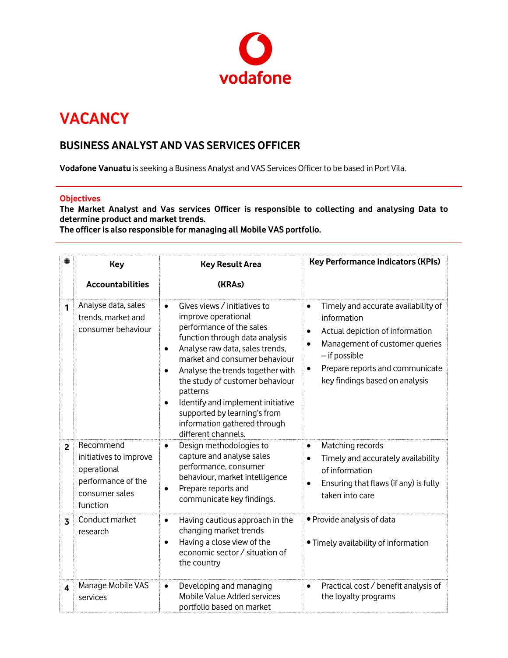

## **VACANCY**

## **BUSINESS ANALYST AND VAS SERVICES OFFICER**

**Vodafone Vanuatu** is seeking a Business Analyst and VAS Services Officer to be based in Port Vila.

## **Objectives**

**The Market Analyst and Vas services Officer is responsible to collecting and analysing Data to determine product and market trends.** 

**The officer is also responsible for managing all Mobile VAS portfolio.** 

| #                       | <b>Key</b>                                                                                             | <b>Key Result Area</b>                                                                                                                                                                                                                                                                                                                                                                                                                                   | <b>Key Performance Indicators (KPIs)</b>                                                                                                                                                                                                             |
|-------------------------|--------------------------------------------------------------------------------------------------------|----------------------------------------------------------------------------------------------------------------------------------------------------------------------------------------------------------------------------------------------------------------------------------------------------------------------------------------------------------------------------------------------------------------------------------------------------------|------------------------------------------------------------------------------------------------------------------------------------------------------------------------------------------------------------------------------------------------------|
|                         | <b>Accountabilities</b>                                                                                | (KRAs)                                                                                                                                                                                                                                                                                                                                                                                                                                                   |                                                                                                                                                                                                                                                      |
| 1                       | Analyse data, sales<br>trends, market and<br>consumer behaviour                                        | Gives views / initiatives to<br>$\bullet$<br>improve operational<br>performance of the sales<br>function through data analysis<br>Analyse raw data, sales trends,<br>$\bullet$<br>market and consumer behaviour<br>Analyse the trends together with<br>$\bullet$<br>the study of customer behaviour<br>patterns<br>Identify and implement initiative<br>$\bullet$<br>supported by learning's from<br>information gathered through<br>different channels. | Timely and accurate availability of<br>$\bullet$<br>information<br>Actual depiction of information<br>Management of customer queries<br>$\bullet$<br>- if possible<br>Prepare reports and communicate<br>$\bullet$<br>key findings based on analysis |
| $\overline{2}$          | Recommend<br>initiatives to improve<br>operational<br>performance of the<br>consumer sales<br>function | Design methodologies to<br>$\bullet$<br>capture and analyse sales<br>performance, consumer<br>behaviour, market intelligence<br>Prepare reports and<br>$\bullet$<br>communicate key findings.                                                                                                                                                                                                                                                            | Matching records<br>$\bullet$<br>Timely and accurately availability<br>of information<br>Ensuring that flaws (if any) is fully<br>taken into care                                                                                                    |
| $\overline{3}$          | Conduct market<br>research                                                                             | Having cautious approach in the<br>$\bullet$<br>changing market trends<br>Having a close view of the<br>$\bullet$<br>economic sector / situation of<br>the country                                                                                                                                                                                                                                                                                       | · Provide analysis of data<br>. Timely availability of information                                                                                                                                                                                   |
| $\overline{\mathbf{4}}$ | Manage Mobile VAS<br>services                                                                          | Developing and managing<br>$\bullet$<br>Mobile Value Added services<br>portfolio based on market                                                                                                                                                                                                                                                                                                                                                         | Practical cost / benefit analysis of<br>$\bullet$<br>the loyalty programs                                                                                                                                                                            |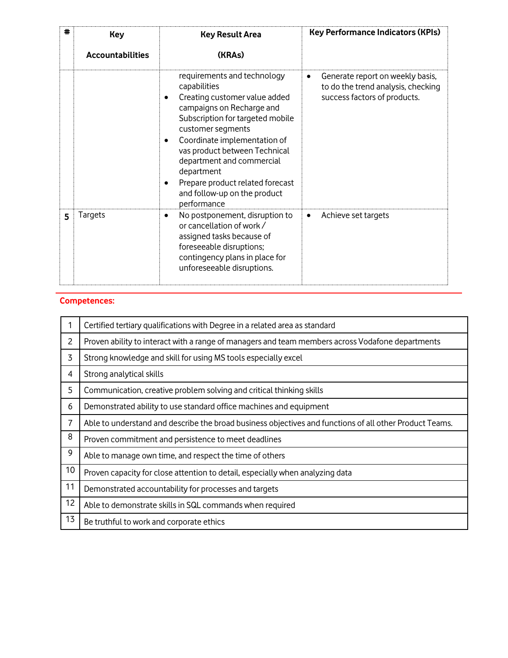| # | <b>Key</b><br><b>Accountabilities</b> | <b>Key Result Area</b><br>(KRAs)                                                                                                                                                                                                                                                                                                                                       | <b>Key Performance Indicators (KPIs)</b>                                                                    |
|---|---------------------------------------|------------------------------------------------------------------------------------------------------------------------------------------------------------------------------------------------------------------------------------------------------------------------------------------------------------------------------------------------------------------------|-------------------------------------------------------------------------------------------------------------|
|   |                                       | requirements and technology<br>capabilities<br>Creating customer value added<br>campaigns on Recharge and<br>Subscription for targeted mobile<br>customer segments<br>Coordinate implementation of<br>vas product between Technical<br>department and commercial<br>department<br>Prepare product related forecast<br>٠<br>and follow-up on the product<br>performance | Generate report on weekly basis,<br>٠<br>to do the trend analysis, checking<br>success factors of products. |
| 5 | Targets                               | No postponement, disruption to<br>٠<br>or cancellation of work /<br>assigned tasks because of<br>foreseeable disruptions;<br>contingency plans in place for<br>unforeseeable disruptions.                                                                                                                                                                              | Achieve set targets<br>٠                                                                                    |

## **Competences:**

|                | Certified tertiary qualifications with Degree in a related area as standard                             |  |  |
|----------------|---------------------------------------------------------------------------------------------------------|--|--|
| $\overline{c}$ | Proven ability to interact with a range of managers and team members across Vodafone departments        |  |  |
| 3              | Strong knowledge and skill for using MS tools especially excel                                          |  |  |
| 4              | Strong analytical skills                                                                                |  |  |
| 5              | Communication, creative problem solving and critical thinking skills                                    |  |  |
| 6              | Demonstrated ability to use standard office machines and equipment                                      |  |  |
| 7              | Able to understand and describe the broad business objectives and functions of all other Product Teams. |  |  |
| 8              | Proven commitment and persistence to meet deadlines                                                     |  |  |
| 9              | Able to manage own time, and respect the time of others                                                 |  |  |
| 10             | Proven capacity for close attention to detail, especially when analyzing data                           |  |  |
| 11             | Demonstrated accountability for processes and targets                                                   |  |  |
| 12             | Able to demonstrate skills in SQL commands when required                                                |  |  |
| 13             | Be truthful to work and corporate ethics                                                                |  |  |